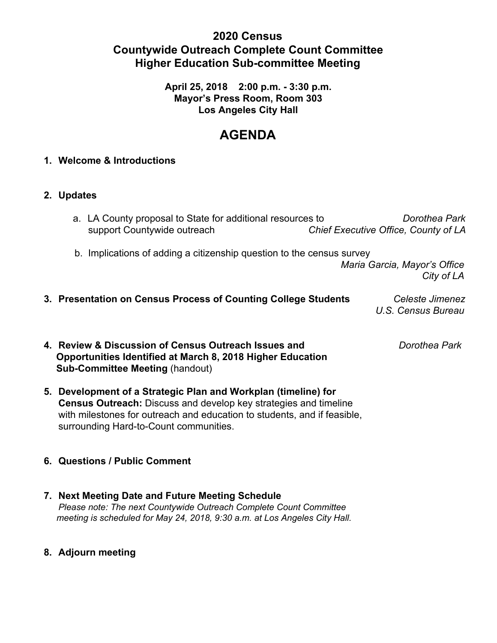# **2020 Census Countywide Outreach Complete Count Committee Higher Education Sub-committee Meeting**

**April 25, 2018 2:00 p.m. - 3:30 p.m. Mayor's Press Room, Room 303 Los Angeles City Hall**

# **AGENDA**

## **1. Welcome & Introductions**

## **2. Updates**

| a. LA County proposal to State for additional resources to | Dorothea Park                        |
|------------------------------------------------------------|--------------------------------------|
| support Countywide outreach                                | Chief Executive Office, County of LA |

b. Implications of adding a citizenship question to the census survey

 *Maria Garcia, Mayor's Office City of LA*

**3. Presentation on Census Process of Counting College Students** *Celeste Jimenez U.S. Census Bureau*

**4. Review & Discussion of Census Outreach Issues and** *Dorothea Park*  **Opportunities Identified at March 8, 2018 Higher Education Sub-Committee Meeting** (handout)

**5. Development of a Strategic Plan and Workplan (timeline) for Census Outreach:** Discuss and develop key strategies and timeline with milestones for outreach and education to students, and if feasible, surrounding Hard-to-Count communities.

## **6. Questions / Public Comment**

- **7. Next Meeting Date and Future Meeting Schedule** *Please note: The next Countywide Outreach Complete Count Committee meeting is scheduled for May 24, 2018, 9:30 a.m. at Los Angeles City Hall.*
- **8. Adjourn meeting**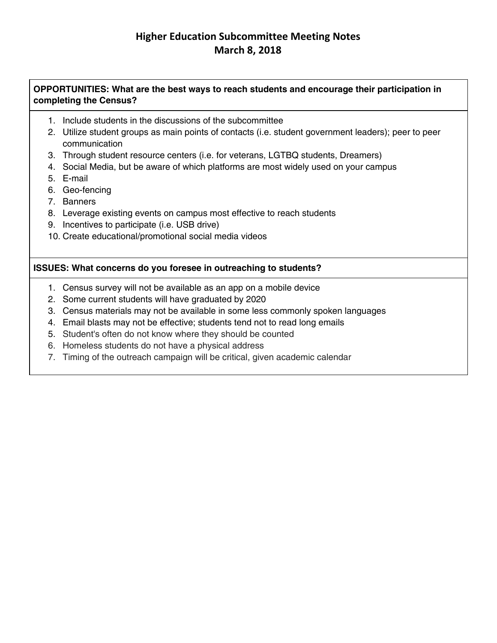# **Higher Education Subcommittee Meeting Notes March 8, 2018**

#### **OPPORTUNITIES: What are the best ways to reach students and encourage their participation in completing the Census?**

- 1. Include students in the discussions of the subcommittee
- 2. Utilize student groups as main points of contacts (i.e. student government leaders); peer to peer communication
- 3. Through student resource centers (i.e. for veterans, LGTBQ students, Dreamers)
- 4. Social Media, but be aware of which platforms are most widely used on your campus
- 5. E-mail
- 6. Geo-fencing
- 7. Banners
- 8. Leverage existing events on campus most effective to reach students
- 9. Incentives to participate (i.e. USB drive)
- 10. Create educational/promotional social media videos

#### **ISSUES: What concerns do you foresee in outreaching to students?**

- 1. Census survey will not be available as an app on a mobile device
- 2. Some current students will have graduated by 2020
- 3. Census materials may not be available in some less commonly spoken languages
- 4. Email blasts may not be effective; students tend not to read long emails
- 5. Student's often do not know where they should be counted
- 6. Homeless students do not have a physical address
- 7. Timing of the outreach campaign will be critical, given academic calendar